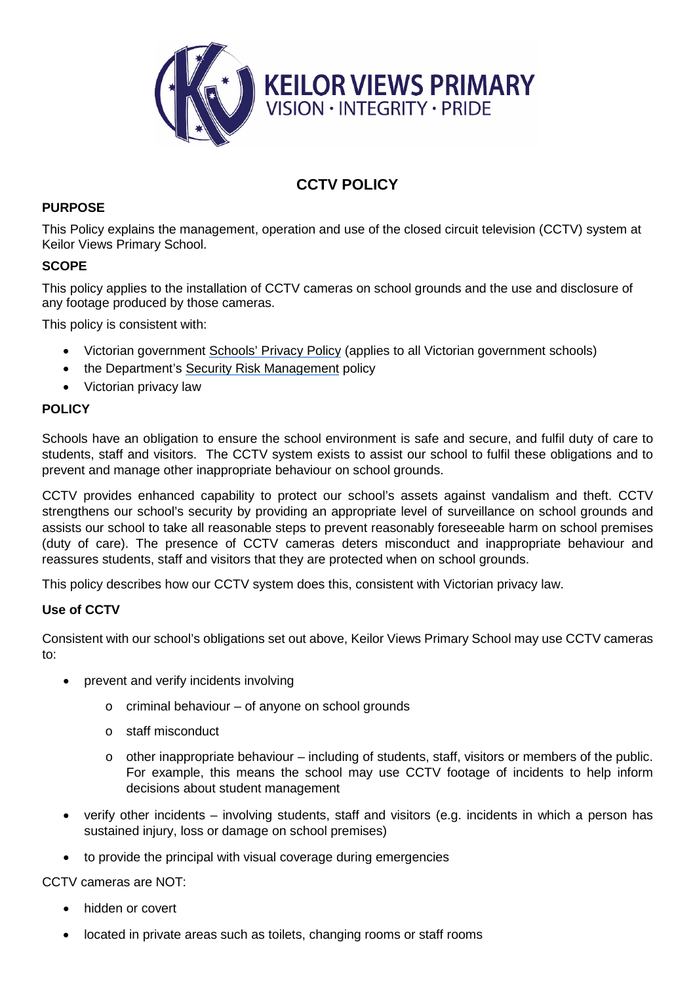

# **CCTV POLICY**

### **PURPOSE**

This Policy explains the management, operation and use of the closed circuit television (CCTV) system at Keilor Views Primary School.

#### **SCOPE**

This policy applies to the installation of CCTV cameras on school grounds and the use and disclosure of any footage produced by those cameras.

This policy is consistent with:

- Victorian government [Schools'](https://www.education.vic.gov.au/Pages/schoolsprivacypolicy.aspx) Privacy Policy (applies to all Victorian government schools)
- the Department's Security Risk [Management](https://www.education.vic.gov.au/school/principals/spag/management/pages/security.aspx) policy
- Victorian privacy law

### **POLICY**

Schools have an obligation to ensure the school environment is safe and secure, and fulfil duty of care to students, staff and visitors. The CCTV system exists to assist our school to fulfil these obligations and to prevent and manage other inappropriate behaviour on school grounds.

CCTV provides enhanced capability to protect our school's assets against vandalism and theft. CCTV strengthens our school's security by providing an appropriate level of surveillance on school grounds and assists our school to take all reasonable steps to prevent reasonably foreseeable harm on school premises (duty of care). The presence of CCTV cameras deters misconduct and inappropriate behaviour and reassures students, staff and visitors that they are protected when on school grounds.

This policy describes how our CCTV system does this, consistent with Victorian privacy law.

### **Use of CCTV**

Consistent with our school's obligations set out above, Keilor Views Primary School may use CCTV cameras to:

- prevent and verify incidents involving
	- o criminal behaviour of anyone on school grounds
	- o staff misconduct
	- $\circ$  other inappropriate behaviour including of students, staff, visitors or members of the public. For example, this means the school may use CCTV footage of incidents to help inform decisions about student management
- verify other incidents involving students, staff and visitors (e.g. incidents in which a person has sustained injury, loss or damage on school premises)
- to provide the principal with visual coverage during emergencies

CCTV cameras are NOT:

- hidden or covert
- located in private areas such as toilets, changing rooms or staff rooms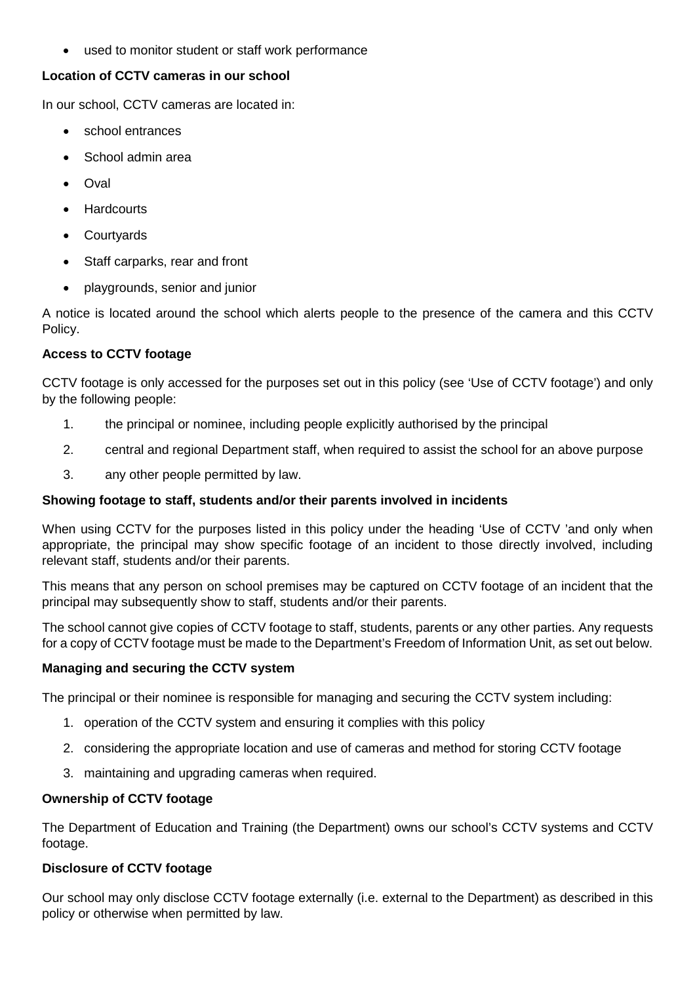• used to monitor student or staff work performance

### **Location of CCTV cameras in our school**

In our school, CCTV cameras are located in:

- school entrances
- School admin area
- Oval
- **Hardcourts**
- **Courtyards**
- Staff carparks, rear and front
- playgrounds, senior and junior

A notice is located around the school which alerts people to the presence of the camera and this CCTV Policy.

# **Access to CCTV footage**

CCTV footage is only accessed for the purposes set out in this policy (see 'Use of CCTV footage') and only by the following people:

- 1. the principal or nominee, including people explicitly authorised by the principal
- 2. central and regional Department staff, when required to assist the school for an above purpose
- 3. any other people permitted by law.

## **Showing footage to staff, students and/or their parents involved in incidents**

When using CCTV for the purposes listed in this policy under the heading 'Use of CCTV 'and only when appropriate, the principal may show specific footage of an incident to those directly involved, including relevant staff, students and/or their parents.

This means that any person on school premises may be captured on CCTV footage of an incident that the principal may subsequently show to staff, students and/or their parents.

The school cannot give copies of CCTV footage to staff, students, parents or any other parties. Any requests for a copy of CCTV footage must be made to the Department's Freedom of Information Unit, as set out below.

## **Managing and securing the CCTV system**

The principal or their nominee is responsible for managing and securing the CCTV system including:

- 1. operation of the CCTV system and ensuring it complies with this policy
- 2. considering the appropriate location and use of cameras and method for storing CCTV footage
- 3. maintaining and upgrading cameras when required.

## **Ownership of CCTV footage**

The Department of Education and Training (the Department) owns our school's CCTV systems and CCTV footage.

# **Disclosure of CCTV footage**

Our school may only disclose CCTV footage externally (i.e. external to the Department) as described in this policy or otherwise when permitted by law.